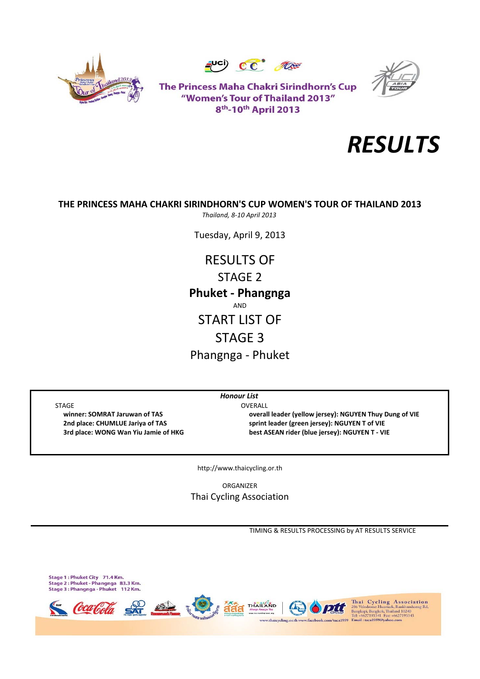





The Princess Maha Chakri Sirindhorn's Cup "Women's Tour of Thailand 2013" 8<sup>th</sup>-10<sup>th</sup> April 2013



# **THE PRINCESS MAHA CHAKRI SIRINDHORN'S CUP WOMEN'S TOUR OF THAILAND 2013**

*Thailand, 8‐10 April 2013*

Tuesday, April 9, 2013

RESULTS OF STAGE 2 Phangnga ‐ Phuket **Phuket ‐ Phangnga** AND START LIST OF STAGE 3

STAGE OVERALL

 **winner: SOMRAT Jaruwan of TAS overall leader (yellow jersey): NGUYEN Thuy Dung of VIE 2nd place: CHUMLUE Jariya of TAS sprint leader (green jersey): NGUYEN T of VIE** 3rd place: WONG Wan Yiu Jamie of HKG best ASEAN rider (blue jersey): NGUYEN T - VIE

http://www.thaicycling.or.th

*Honour List*

ORGANIZER Thai Cycling Association

TIMING & RESULTS PROCESSING by AT RESULTS SERVICE

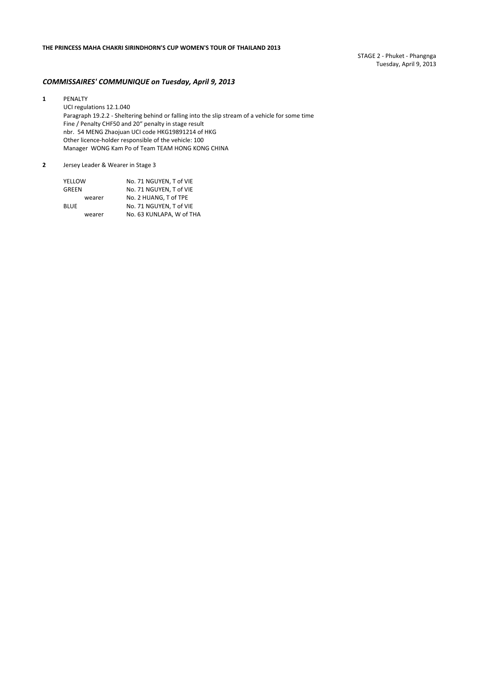STAGE 2 ‐ Phuket ‐ Phangnga Tuesday, April 9, 2013

### *COMMISSAIRES' COMMUNIQUE on Tuesday, April 9, 2013*

**1** PENALTY UCI regulations 12.1.040 Paragraph 19.2.2 ‐ Sheltering behind or falling into the slip stream of a vehicle for some time Fine / Penalty CHF50 and 20" penalty in stage result nbr. 54 MENG Zhaojuan UCI code HKG19891214 of HKG Other licence‐holder responsible of the vehicle: 100 Manager WONG Kam Po of Team TEAM HONG KONG CHINA

#### **2** Jersey Leader & Wearer in Stage 3

| YELLOW |        | No. 71 NGUYEN. T of VIE  |
|--------|--------|--------------------------|
| GREEN  |        | No. 71 NGUYEN. T of VIE  |
|        | wearer | No. 2 HUANG. T of TPE    |
| BLUE   |        | No. 71 NGUYEN, T of VIE  |
|        | wearer | No. 63 KUNLAPA, W of THA |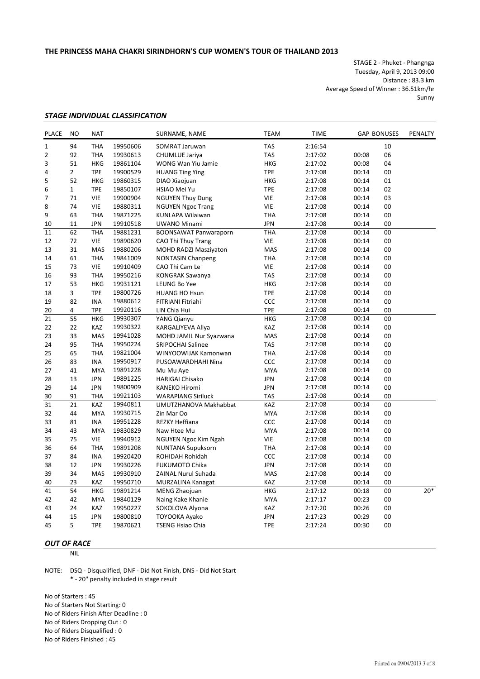STAGE 2 ‐ Phuket ‐ Phangnga Tuesday, April 9, 2013 09:00 Distance : 83.3 km Average Speed of Winner : 36.51km/hr Sunny

#### *STAGE INDIVIDUAL CLASSIFICATION*

| <b>PLACE</b> | <b>NO</b>      | <b>NAT</b> |          | SURNAME, NAME                | <b>TEAM</b> | <b>TIME</b> |       | <b>GAP BONUSES</b> | PENALTY |
|--------------|----------------|------------|----------|------------------------------|-------------|-------------|-------|--------------------|---------|
| $\mathbf{1}$ | 94             | <b>THA</b> | 19950606 | <b>SOMRAT Jaruwan</b>        | <b>TAS</b>  | 2:16:54     |       | 10                 |         |
| 2            | 92             | <b>THA</b> | 19930613 | <b>CHUMLUE Jariya</b>        | <b>TAS</b>  | 2:17:02     | 00:08 | 06                 |         |
| 3            | 51             | <b>HKG</b> | 19861104 | WONG Wan Yiu Jamie           | <b>HKG</b>  | 2:17:02     | 00:08 | 04                 |         |
| 4            | $\overline{2}$ | <b>TPE</b> | 19900529 | <b>HUANG Ting Ying</b>       | <b>TPE</b>  | 2:17:08     | 00:14 | 00                 |         |
| 5            | 52             | <b>HKG</b> | 19860315 | DIAO Xiaojuan                | <b>HKG</b>  | 2:17:08     | 00:14 | 01                 |         |
| 6            | $\mathbf{1}$   | <b>TPE</b> | 19850107 | HSIAO Mei Yu                 | <b>TPE</b>  | 2:17:08     | 00:14 | 02                 |         |
| 7            | 71             | <b>VIE</b> | 19900904 | <b>NGUYEN Thuy Dung</b>      | <b>VIE</b>  | 2:17:08     | 00:14 | 03                 |         |
| 8            | 74             | <b>VIE</b> | 19880311 | <b>NGUYEN Ngoc Trang</b>     | <b>VIE</b>  | 2:17:08     | 00:14 | 00                 |         |
| 9            | 63             | <b>THA</b> | 19871225 | KUNLAPA Wilaiwan             | <b>THA</b>  | 2:17:08     | 00:14 | 00                 |         |
| 10           | 11             | <b>JPN</b> | 19910518 | UWANO Minami                 | <b>JPN</b>  | 2:17:08     | 00:14 | 00                 |         |
| 11           | 62             | <b>THA</b> | 19881231 | <b>BOONSAWAT Panwaraporn</b> | <b>THA</b>  | 2:17:08     | 00:14 | 00                 |         |
| 12           | 72             | <b>VIE</b> | 19890620 | CAO Thi Thuy Trang           | <b>VIE</b>  | 2:17:08     | 00:14 | 00                 |         |
| 13           | 31             | <b>MAS</b> | 19880206 | <b>MOHD RADZI Masziyaton</b> | MAS         | 2:17:08     | 00:14 | 00                 |         |
| 14           | 61             | <b>THA</b> | 19841009 | <b>NONTASIN Chanpeng</b>     | <b>THA</b>  | 2:17:08     | 00:14 | 00                 |         |
| 15           | 73             | <b>VIE</b> | 19910409 | CAO Thi Cam Le               | <b>VIE</b>  | 2:17:08     | 00:14 | 00                 |         |
| 16           | 93             | <b>THA</b> | 19950216 | <b>KONGRAK Sawanya</b>       | <b>TAS</b>  | 2:17:08     | 00:14 | 00                 |         |
| 17           | 53             | <b>HKG</b> | 19931121 | LEUNG Bo Yee                 | <b>HKG</b>  | 2:17:08     | 00:14 | 00                 |         |
| 18           | 3              | <b>TPE</b> | 19800726 | <b>HUANG HO Hsun</b>         | <b>TPE</b>  | 2:17:08     | 00:14 | 00                 |         |
| 19           | 82             | <b>INA</b> | 19880612 | FITRIANI Fitriahi            | CCC         | 2:17:08     | 00:14 | 00                 |         |
| 20           | 4              | <b>TPE</b> | 19920116 | LIN Chia Hui                 | <b>TPE</b>  | 2:17:08     | 00:14 | 00                 |         |
| 21           | 55             | <b>HKG</b> | 19930307 | YANG Qianyu                  | <b>HKG</b>  | 2:17:08     | 00:14 | 00                 |         |
| 22           | 22             | KAZ        | 19930322 | KARGALIYEVA Aliya            | KAZ         | 2:17:08     | 00:14 | 00                 |         |
| 23           | 33             | <b>MAS</b> | 19941028 | MOHD JAMIL Nur Syazwana      | MAS         | 2:17:08     | 00:14 | 00                 |         |
| 24           | 95             | <b>THA</b> | 19950224 | <b>SRIPOCHAI Salinee</b>     | <b>TAS</b>  | 2:17:08     | 00:14 | 00                 |         |
| 25           | 65             | <b>THA</b> | 19821004 | WINYOOWIJAK Kamonwan         | <b>THA</b>  | 2:17:08     | 00:14 | 00                 |         |
| 26           | 83             | <b>INA</b> | 19950917 | PUSOAWARDHAHI Nina           | CCC         | 2:17:08     | 00:14 | 00                 |         |
| 27           | 41             | <b>MYA</b> | 19891228 | Mu Mu Aye                    | <b>MYA</b>  | 2:17:08     | 00:14 | 00                 |         |
| 28           | 13             | <b>JPN</b> | 19891225 | <b>HARIGAI Chisako</b>       | <b>JPN</b>  | 2:17:08     | 00:14 | 00                 |         |
| 29           | 14             | <b>JPN</b> | 19800909 | <b>KANEKO Hiromi</b>         | <b>JPN</b>  | 2:17:08     | 00:14 | 00                 |         |
| 30           | 91             | <b>THA</b> | 19921103 | <b>WARAPIANG Siriluck</b>    | <b>TAS</b>  | 2:17:08     | 00:14 | 00                 |         |
| 31           | 21             | <b>KAZ</b> | 19940811 | UMUTZHANOVA Makhabbat        | KAZ         | 2:17:08     | 00:14 | 00                 |         |
| 32           | 44             | <b>MYA</b> | 19930715 | Zin Mar Oo                   | <b>MYA</b>  | 2:17:08     | 00:14 | 00                 |         |
| 33           | 81             | <b>INA</b> | 19951228 | <b>REZKY Heffiana</b>        | CCC         | 2:17:08     | 00:14 | 00                 |         |
| 34           | 43             | <b>MYA</b> | 19830829 | Naw Htee Mu                  | <b>MYA</b>  | 2:17:08     | 00:14 | 00                 |         |
| 35           | 75             | <b>VIE</b> | 19940912 | NGUYEN Ngoc Kim Ngah         | <b>VIE</b>  | 2:17:08     | 00:14 | 00                 |         |
| 36           | 64             | <b>THA</b> | 19891208 | <b>NUNTANA Supuksorn</b>     | <b>THA</b>  | 2:17:08     | 00:14 | 00                 |         |
| 37           | 84             | <b>INA</b> | 19920420 | ROHIDAH Rohidah              | CCC         | 2:17:08     | 00:14 | 00                 |         |
| 38           | 12             | <b>JPN</b> | 19930226 | <b>FUKUMOTO Chika</b>        | <b>JPN</b>  | 2:17:08     | 00:14 | 00                 |         |
| 39           | 34             | <b>MAS</b> | 19930910 | ZAINAL Nurul Suhada          | MAS         | 2:17:08     | 00:14 | 00                 |         |
| 40           | 23             | <b>KAZ</b> | 19950710 | MURZALINA Kanagat            | KAZ         | 2:17:08     | 00:14 | 00                 |         |
| 41           | 54             | <b>HKG</b> | 19891214 | MENG Zhaojuan                | <b>HKG</b>  | 2:17:12     | 00:18 | 00                 | $20*$   |
| 42           | 42             | <b>MYA</b> | 19840129 | Naing Kake Khanie            | <b>MYA</b>  | 2:17:17     | 00:23 | 00                 |         |
| 43           | 24             | <b>KAZ</b> | 19950227 | SOKOLOVA Alyona              | KAZ         | 2:17:20     | 00:26 | 00                 |         |
| 44           | 15             | <b>JPN</b> | 19800810 | TOYOOKA Ayako                | <b>JPN</b>  | 2:17:23     | 00:29 | 00                 |         |
| 45           | 5              | <b>TPE</b> | 19870621 | <b>TSENG Hsiao Chia</b>      | <b>TPE</b>  | 2:17:24     | 00:30 | 00                 |         |

## *OUT OF RACE*

NIL

NOTE: DSQ ‐ Disqualified, DNF ‐ Did Not Finish, DNS ‐ Did Not Start \* ‐ 20" penalty included in stage result

No of Starters : 45 No of Starters Not Starting: 0 No of Riders Finish After Deadline : 0 No of Riders Dropping Out : 0 No of Riders Disqualified : 0 No of Riders Finished : 45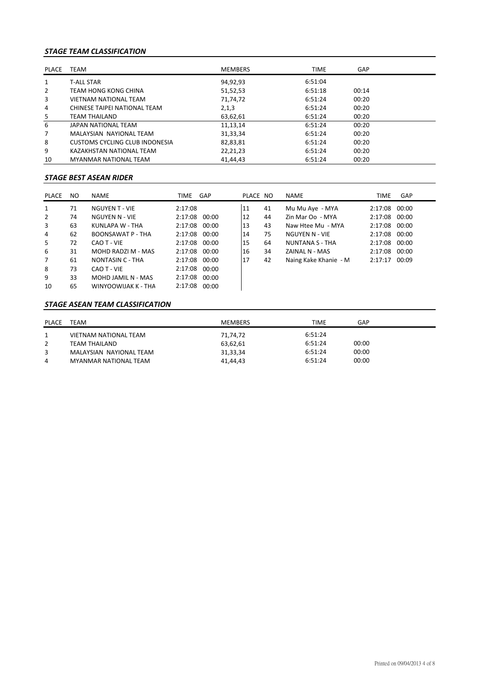# *STAGE TEAM CLASSIFICATION*

| PLACE          | <b>TEAM</b>                    | <b>MEMBERS</b> | <b>TIME</b> | GAP   |  |
|----------------|--------------------------------|----------------|-------------|-------|--|
| 1              | <b>T-ALL STAR</b>              | 94,92,93       | 6:51:04     |       |  |
| $\overline{2}$ | TEAM HONG KONG CHINA           | 51,52,53       | 6:51:18     | 00:14 |  |
| 3              | <b>VIETNAM NATIONAL TEAM</b>   | 71,74,72       | 6:51:24     | 00:20 |  |
| 4              | CHINESE TAIPEI NATIONAL TEAM   | 2,1,3          | 6:51:24     | 00:20 |  |
| 5              | TEAM THAILAND                  | 63,62,61       | 6:51:24     | 00:20 |  |
| 6              | JAPAN NATIONAL TEAM            | 11,13,14       | 6:51:24     | 00:20 |  |
| 7              | MALAYSIAN NAYIONAL TEAM        | 31,33,34       | 6:51:24     | 00:20 |  |
| 8              | CUSTOMS CYCLING CLUB INDONESIA | 82,83,81       | 6:51:24     | 00:20 |  |
| 9              | KAZAKHSTAN NATIONAL TEAM       | 22,21,23       | 6:51:24     | 00:20 |  |
| 10             | MYANMAR NATIONAL TEAM          | 41,44,43       | 6:51:24     | 00:20 |  |

# *STAGE BEST ASEAN RIDER*

| PLACE          | NO. | <b>NAME</b>           | TIME          | GAP   | PLACE NO |    | <b>NAME</b>            | TIME          | GAP   |
|----------------|-----|-----------------------|---------------|-------|----------|----|------------------------|---------------|-------|
| 1              | 71  | <b>NGUYEN T - VIE</b> | 2:17:08       |       | 11       | 41 | Mu Mu Aye - MYA        | 2:17:08 00:00 |       |
| 2              | 74  | NGUYEN N - VIE        | 2:17:08       | 00:00 | 12       | 44 | Zin Mar Oo - MYA       | 2:17:08 00:00 |       |
| 3              | 63  | KUNLAPA W - THA       | 2:17:08       | 00:00 | 13       | 43 | Naw Htee Mu - MYA      | 2:17:08 00:00 |       |
| 4              | 62  | BOONSAWAT P - THA     | 2:17:08 00:00 |       | 14       | 75 | NGUYEN N - VIE         | 2:17:08 00:00 |       |
| 5              | 72  | CAO T - VIE           | 2:17:08 00:00 |       | 15       | 64 | <b>NUNTANA S - THA</b> | 2:17:08 00:00 |       |
| 6              | 31  | MOHD RADZI M - MAS    | 2:17:08 00:00 |       | 16       | 34 | ZAINAL N - MAS         | 2:17:08 00:00 |       |
| $\overline{7}$ | 61  | NONTASIN C - THA      | 2:17:08 00:00 |       | 117      | 42 | Naing Kake Khanie - M  | 2:17:17       | 00:09 |
| 8              | 73  | CAO T - VIE           | 2:17:08       | 00:00 |          |    |                        |               |       |
| 9              | 33  | MOHD JAMIL N - MAS    | 2:17:08       | 00:00 |          |    |                        |               |       |
| 10             | 65  | WINYOOWIJAK K - THA   | 2:17:08       | 00:00 |          |    |                        |               |       |

### *STAGE ASEAN TEAM CLASSIFICATION*

| <b>PLACE</b> | TEAM                         | <b>MEMBERS</b> | <b>TIME</b> | GAP   |
|--------------|------------------------------|----------------|-------------|-------|
|              | <b>VIETNAM NATIONAL TEAM</b> | 71,74,72       | 6:51:24     |       |
|              | TEAM THAILAND                | 63,62,61       | 6:51:24     | 00:00 |
| 3            | MALAYSIAN NAYIONAL TEAM      | 31,33,34       | 6:51:24     | 00:00 |
| 4            | MYANMAR NATIONAL TEAM        | 41,44,43       | 6:51:24     | 00:00 |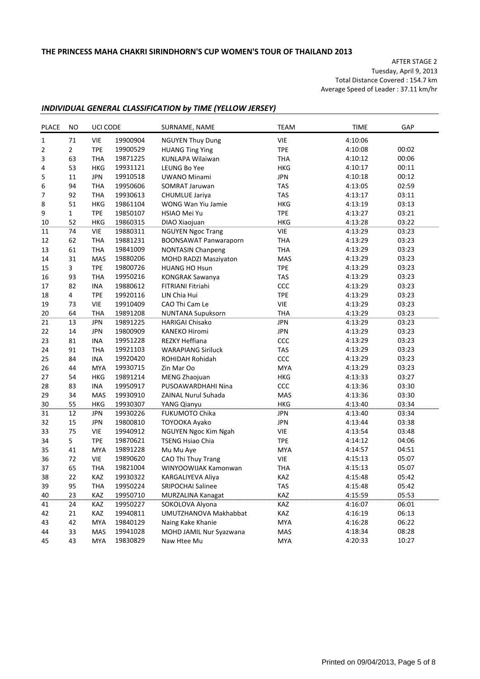AFTER STAGE 2 Tuesday, April 9, 2013 Total Distance Covered : 154.7 km Average Speed of Leader : 37.11 km/hr

# *INDIVIDUAL GENERAL CLASSIFICATION by TIME (YELLOW JERSEY)*

| <b>PLACE</b> | <b>NO</b>      | UCI CODE   |          | SURNAME, NAME                | <b>TEAM</b> | <b>TIME</b> | GAP   |
|--------------|----------------|------------|----------|------------------------------|-------------|-------------|-------|
| $\mathbf{1}$ | 71             | <b>VIE</b> | 19900904 | <b>NGUYEN Thuy Dung</b>      | <b>VIE</b>  | 4:10:06     |       |
| 2            | $\overline{2}$ | <b>TPE</b> | 19900529 | <b>HUANG Ting Ying</b>       | <b>TPE</b>  | 4:10:08     | 00:02 |
| 3            | 63             | <b>THA</b> | 19871225 | <b>KUNLAPA Wilaiwan</b>      | <b>THA</b>  | 4:10:12     | 00:06 |
| 4            | 53             | <b>HKG</b> | 19931121 | LEUNG Bo Yee                 | <b>HKG</b>  | 4:10:17     | 00:11 |
| 5            | 11             | <b>JPN</b> | 19910518 | <b>UWANO Minami</b>          | <b>JPN</b>  | 4:10:18     | 00:12 |
| 6            | 94             | THA        | 19950606 | SOMRAT Jaruwan               | <b>TAS</b>  | 4:13:05     | 02:59 |
| 7            | 92             | <b>THA</b> | 19930613 | CHUMLUE Jariya               | <b>TAS</b>  | 4:13:17     | 03:11 |
| 8            | 51             | HKG        | 19861104 | WONG Wan Yiu Jamie           | <b>HKG</b>  | 4:13:19     | 03:13 |
| 9            | $\mathbf 1$    | <b>TPE</b> | 19850107 | HSIAO Mei Yu                 | <b>TPE</b>  | 4:13:27     | 03:21 |
| 10           | 52             | <b>HKG</b> | 19860315 | DIAO Xiaojuan                | <b>HKG</b>  | 4:13:28     | 03:22 |
| 11           | 74             | <b>VIE</b> | 19880311 | <b>NGUYEN Ngoc Trang</b>     | VIE         | 4:13:29     | 03:23 |
| 12           | 62             | <b>THA</b> | 19881231 | <b>BOONSAWAT Panwaraporn</b> | <b>THA</b>  | 4:13:29     | 03:23 |
| 13           | 61             | <b>THA</b> | 19841009 | <b>NONTASIN Chanpeng</b>     | <b>THA</b>  | 4:13:29     | 03:23 |
| 14           | 31             | MAS        | 19880206 | MOHD RADZI Masziyaton        | MAS         | 4:13:29     | 03:23 |
| 15           | 3              | <b>TPE</b> | 19800726 | <b>HUANG HO Hsun</b>         | <b>TPE</b>  | 4:13:29     | 03:23 |
| 16           | 93             | <b>THA</b> | 19950216 | <b>KONGRAK Sawanya</b>       | <b>TAS</b>  | 4:13:29     | 03:23 |
| 17           | 82             | INA        | 19880612 | FITRIANI Fitriahi            | CCC         | 4:13:29     | 03:23 |
| 18           | 4              | <b>TPE</b> | 19920116 | LIN Chia Hui                 | <b>TPE</b>  | 4:13:29     | 03:23 |
| 19           | 73             | <b>VIE</b> | 19910409 | CAO Thi Cam Le               | VIE         | 4:13:29     | 03:23 |
| 20           | 64             | <b>THA</b> | 19891208 | <b>NUNTANA Supuksorn</b>     | <b>THA</b>  | 4:13:29     | 03:23 |
| 21           | 13             | <b>JPN</b> | 19891225 | <b>HARIGAI Chisako</b>       | <b>JPN</b>  | 4:13:29     | 03:23 |
| 22           | 14             | <b>JPN</b> | 19800909 | <b>KANEKO Hiromi</b>         | <b>JPN</b>  | 4:13:29     | 03:23 |
| 23           | 81             | INA        | 19951228 | REZKY Heffiana               | CCC         | 4:13:29     | 03:23 |
| 24           | 91             | <b>THA</b> | 19921103 | <b>WARAPIANG Siriluck</b>    | <b>TAS</b>  | 4:13:29     | 03:23 |
| 25           | 84             | INA        | 19920420 | ROHIDAH Rohidah              | ccc         | 4:13:29     | 03:23 |
| 26           | 44             | <b>MYA</b> | 19930715 | Zin Mar Oo                   | <b>MYA</b>  | 4:13:29     | 03:23 |
| 27           | 54             | <b>HKG</b> | 19891214 | MENG Zhaojuan                | HKG         | 4:13:33     | 03:27 |
| 28           | 83             | INA        | 19950917 | PUSOAWARDHAHI Nina           | CCC         | 4:13:36     | 03:30 |
| 29           | 34             | <b>MAS</b> | 19930910 | <b>ZAINAL Nurul Suhada</b>   | MAS         | 4:13:36     | 03:30 |
| 30           | 55             | HKG        | 19930307 | YANG Qianyu                  | <b>HKG</b>  | 4:13:40     | 03:34 |
| 31           | 12             | <b>JPN</b> | 19930226 | <b>FUKUMOTO Chika</b>        | <b>JPN</b>  | 4:13:40     | 03:34 |
| 32           | 15             | <b>JPN</b> | 19800810 | TOYOOKA Ayako                | <b>JPN</b>  | 4:13:44     | 03:38 |
| 33           | 75             | <b>VIE</b> | 19940912 | NGUYEN Ngoc Kim Ngah         | VIE         | 4:13:54     | 03:48 |
| 34           | 5              | <b>TPE</b> | 19870621 | <b>TSENG Hsiao Chia</b>      | <b>TPE</b>  | 4:14:12     | 04:06 |
| 35           | 41             | <b>MYA</b> | 19891228 | Mu Mu Aye                    | <b>MYA</b>  | 4:14:57     | 04:51 |
| 36           | 72             | <b>VIE</b> | 19890620 | CAO Thi Thuy Trang           | VIE         | 4:15:13     | 05:07 |
| 37           | 65             | <b>THA</b> | 19821004 | WINYOOWIJAK Kamonwan         | <b>THA</b>  | 4:15:13     | 05:07 |
| 38           | 22             | KAZ        | 19930322 | KARGALIYEVA Aliya            | KAZ         | 4:15:48     | 05:42 |
| 39           | 95             | <b>THA</b> | 19950224 | SRIPOCHAI Salinee            | <b>TAS</b>  | 4:15:48     | 05:42 |
| 40           | 23             | KAZ        | 19950710 | MURZALINA Kanagat            | KAZ         | 4:15:59     | 05:53 |
| 41           | 24             | KAZ        | 19950227 | SOKOLOVA Alyona              | KAZ         | 4:16:07     | 06:01 |
| 42           | 21             | KAZ        | 19940811 | UMUTZHANOVA Makhabbat        | KAZ         | 4:16:19     | 06:13 |
| 43           | 42             | <b>MYA</b> | 19840129 | Naing Kake Khanie            | MYA         | 4:16:28     | 06:22 |
| 44           | 33             | MAS        | 19941028 | MOHD JAMIL Nur Syazwana      | MAS         | 4:18:34     | 08:28 |
| 45           | 43             | MYA        | 19830829 | Naw Htee Mu                  | MYA         | 4:20:33     | 10:27 |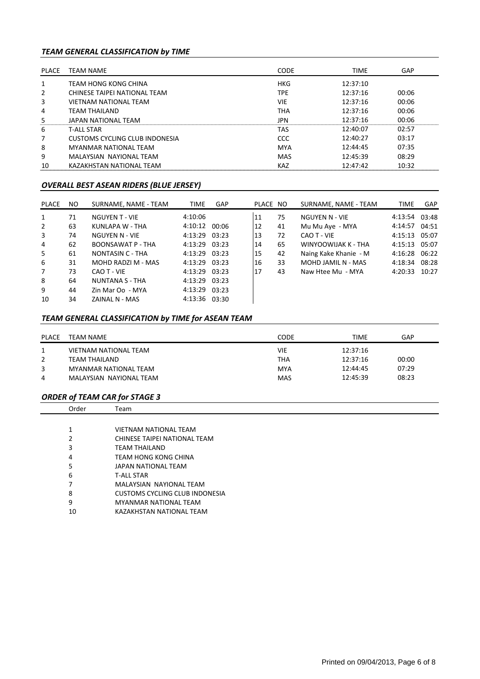# *TEAM GENERAL CLASSIFICATION by TIME*

| PLACE | <b>TEAM NAME</b>               | <b>CODE</b> | <b>TIME</b> | GAP   |
|-------|--------------------------------|-------------|-------------|-------|
|       | TEAM HONG KONG CHINA           | <b>HKG</b>  | 12:37:10    |       |
| 2     | CHINESE TAIPEI NATIONAL TEAM   | <b>TPE</b>  | 12:37:16    | 00:06 |
| 3     | <b>VIETNAM NATIONAL TEAM</b>   | <b>VIE</b>  | 12:37:16    | 00:06 |
| 4     | TFAM THAILAND                  | <b>THA</b>  | 12:37:16    | 00:06 |
| 5     | JAPAN NATIONAL TEAM            | JPN         | 12:37:16    | 00:06 |
| 6     | <b>T-ALL STAR</b>              | TAS         | 12:40:07    | 02:57 |
| 7     | CUSTOMS CYCLING CLUB INDONESIA | CCC         | 12:40:27    | 03:17 |
| 8     | MYANMAR NATIONAL TFAM          | <b>MYA</b>  | 12:44:45    | 07:35 |
| 9     | MALAYSIAN NAYIONAL TEAM        | <b>MAS</b>  | 12:45:39    | 08:29 |
| 10    | KAZAKHSTAN NATIONAL TEAM       | KAZ         | 12:47:42    | 10:32 |

### *OVERALL BEST ASEAN RIDERS (BLUE JERSEY)*

| PLACE | NO. | SURNAME, NAME - TEAM   | <b>TIME</b>   | <b>GAP</b> | PLACE NO |    | SURNAME, NAME - TEAM  | <b>TIME</b>   | GAP   |
|-------|-----|------------------------|---------------|------------|----------|----|-----------------------|---------------|-------|
| 1     | 71  | <b>NGUYEN T - VIE</b>  | 4:10:06       |            | 11       | 75 | NGUYEN N - VIE        | 4:13:54 03:48 |       |
| 2     | 63  | KUNLAPA W - THA        | 4:10:12       | 00:06      | 12       | 41 | Mu Mu Aye - MYA       | 4:14:57       | 04:51 |
| 3     | 74  | NGUYEN N - VIE         | 4:13:29 03:23 |            | 13       | 72 | CAO T - VIE           | 4:15:13 05:07 |       |
| 4     | 62  | BOONSAWAT P - THA      | 4:13:29 03:23 |            | 14       | 65 | WINYOOWIJAK K - THA   | 4:15:13       | 05:07 |
| 5     | 61  | NONTASIN C - THA       | 4:13:29 03:23 |            | 15       | 42 | Naing Kake Khanie - M | 4:16:28 06:22 |       |
| 6     | 31  | MOHD RADZI M - MAS     | 4:13:29 03:23 |            | 16       | 33 | MOHD JAMIL N - MAS    | 4:18:34       | 08:28 |
| 7     | 73  | CAO T - VIE            | 4:13:29 03:23 |            | 17       | 43 | Naw Htee Mu - MYA     | 4:20:33       | 10:27 |
| 8     | 64  | <b>NUNTANA S - THA</b> | 4:13:29 03:23 |            |          |    |                       |               |       |
| 9     | 44  | Zin Mar Oo - MYA       | 4:13:29 03:23 |            |          |    |                       |               |       |
| 10    | 34  | ZAINAL N - MAS         | 4:13:36 03:30 |            |          |    |                       |               |       |

# *TEAM GENERAL CLASSIFICATION by TIME for ASEAN TEAM*

| PLACE | TEAM NAME               | CODE       | TIME     | GAP   |
|-------|-------------------------|------------|----------|-------|
|       | VIETNAM NATIONAL TEAM   | VIE        | 12:37:16 |       |
|       | TEAM THAILAND           | <b>THA</b> | 12:37:16 | 00:00 |
| 3     | MYANMAR NATIONAL TEAM   | MYA        | 12:44:45 | 07:29 |
| 4     | MALAYSIAN NAYIONAL TEAM | <b>MAS</b> | 12:45:39 | 08:23 |

### *ORDER of TEAM CAR for STAGE 3*

| Order | Team                           |
|-------|--------------------------------|
|       |                                |
| 1     | <b>VIETNAM NATIONAL TEAM</b>   |
| 2     | CHINESE TAIPEI NATIONAL TEAM   |
| 3     | TEAM THAILAND                  |
| 4     | TEAM HONG KONG CHINA           |
| 5     | JAPAN NATIONAL TEAM            |
| 6     | <b>T-ALL STAR</b>              |
| 7     | MALAYSIAN NAYIONAL TEAM        |
| 8     | CUSTOMS CYCLING CLUB INDONESIA |
| 9     | MYANMAR NATIONAL TEAM          |
| 10    | KAZAKHSTAN NATIONAL TEAM       |
|       |                                |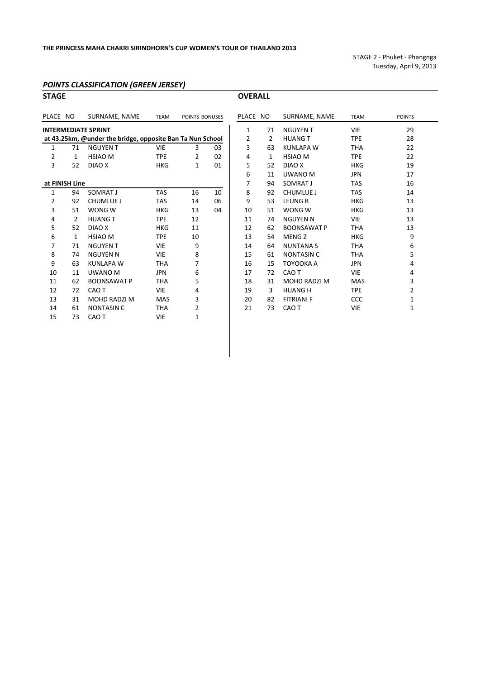STAGE 2 ‐ Phuket ‐ Phangnga Tuesday, April 9, 2013

#### *POINTS CLASSIFICATION (GREEN JERSEY)*

| <b>STAGE</b>   |                |                                                           |             |                |    | <b>OVERALL</b> |              |                    |             |                |
|----------------|----------------|-----------------------------------------------------------|-------------|----------------|----|----------------|--------------|--------------------|-------------|----------------|
| PLACE NO       |                | SURNAME, NAME                                             | <b>TEAM</b> | POINTS BONUSES |    | PLACE NO       |              | SURNAME, NAME      | <b>TEAM</b> | POINTS         |
|                |                | <b>INTERMEDIATE SPRINT</b>                                |             |                |    | $\mathbf{1}$   | 71           | <b>NGUYEN T</b>    | <b>VIE</b>  | 29             |
|                |                | at 43.25km, @under the bridge, opposite Ban Ta Nun School |             |                |    | 2              | 2            | <b>HUANG T</b>     | <b>TPE</b>  | 28             |
| 1              | 71             | <b>NGUYEN T</b>                                           | <b>VIE</b>  | 3              | 03 | 3              | 63           | <b>KUNLAPA W</b>   | <b>THA</b>  | 22             |
| $\overline{2}$ | $\mathbf{1}$   | <b>HSIAO M</b>                                            | <b>TPE</b>  | 2              | 02 | 4              | $\mathbf{1}$ | <b>HSIAO M</b>     | <b>TPE</b>  | 22             |
| 3              | 52             | DIAO X                                                    | <b>HKG</b>  | $\mathbf{1}$   | 01 | 5              | 52           | DIAO X             | <b>HKG</b>  | 19             |
|                |                |                                                           |             |                |    | 6              | 11           | UWANO M            | <b>JPN</b>  | 17             |
|                | at FINISH Line |                                                           |             |                |    | 7              | 94           | SOMRAT J           | <b>TAS</b>  | 16             |
| 1              | 94             | SOMRAT J                                                  | <b>TAS</b>  | 16             | 10 | 8              | 92           | <b>CHUMLUE J</b>   | <b>TAS</b>  | 14             |
| 2              | 92             | <b>CHUMLUE J</b>                                          | <b>TAS</b>  | 14             | 06 | 9              | 53           | <b>LEUNG B</b>     | <b>HKG</b>  | 13             |
| 3              | 51             | WONG W                                                    | <b>HKG</b>  | 13             | 04 | 10             | 51           | WONG W             | <b>HKG</b>  | 13             |
| 4              | 2              | <b>HUANG T</b>                                            | <b>TPE</b>  | 12             |    | 11             | 74           | <b>NGUYEN N</b>    | <b>VIE</b>  | 13             |
| 5              | 52             | DIAO X                                                    | <b>HKG</b>  | 11             |    | 12             | 62           | <b>BOONSAWAT P</b> | <b>THA</b>  | 13             |
| 6              | $\mathbf{1}$   | <b>HSIAO M</b>                                            | <b>TPE</b>  | 10             |    | 13             | 54           | <b>MENGZ</b>       | <b>HKG</b>  | 9              |
| 7              | 71             | <b>NGUYEN T</b>                                           | <b>VIE</b>  | 9              |    | 14             | 64           | <b>NUNTANAS</b>    | <b>THA</b>  | 6              |
| 8              | 74             | <b>NGUYEN N</b>                                           | <b>VIE</b>  | 8              |    | 15             | 61           | <b>NONTASIN C</b>  | <b>THA</b>  | 5              |
| 9              | 63             | <b>KUNLAPA W</b>                                          | <b>THA</b>  | 7              |    | 16             | 15           | TOYOOKA A          | <b>JPN</b>  | 4              |
| 10             | 11             | UWANO M                                                   | <b>JPN</b>  | 6              |    | 17             | 72           | CAO T              | <b>VIE</b>  | 4              |
| 11             | 62             | <b>BOONSAWAT P</b>                                        | <b>THA</b>  | 5              |    | 18             | 31           | MOHD RADZI M       | <b>MAS</b>  | 3              |
| 12             | 72             | CAO T                                                     | <b>VIE</b>  | 4              |    | 19             | 3            | <b>HUANG H</b>     | <b>TPE</b>  | $\overline{a}$ |
| 13             | 31             | <b>MOHD RADZI M</b>                                       | <b>MAS</b>  | 3              |    | 20             | 82           | <b>FITRIANI F</b>  | CCC         | $\mathbf{1}$   |
| 14             | 61             | <b>NONTASIN C</b>                                         | <b>THA</b>  | 2              |    | 21             | 73           | CAO T              | VIE         | $\mathbf{1}$   |
| 15             | 73             | CAO T                                                     | <b>VIE</b>  | 1              |    |                |              |                    |             |                |
|                |                |                                                           |             |                |    |                |              |                    |             |                |

| LACE NO        |                | SURNAME, NAME      | <b>TEAM</b> | <b>POINTS</b>  |
|----------------|----------------|--------------------|-------------|----------------|
| $\mathbf{1}$   | 71             | NGUYEN T           | <b>VIE</b>  | 29             |
| $\overline{2}$ | $\overline{2}$ | <b>HUANG T</b>     | <b>TPE</b>  | 28             |
| 3              | 63             | KUNLAPA W          | <b>THA</b>  | 22             |
| 4              | $\mathbf{1}$   | <b>HSIAO M</b>     | <b>TPE</b>  | 22             |
| 5              | 52             | DIAO X             | HKG         | 19             |
| 6              | 11             | UWANO M            | <b>JPN</b>  | 17             |
| 7              | 94             | SOMRAT J           | <b>TAS</b>  | 16             |
| 8              | 92             | <b>CHUMLUE J</b>   | <b>TAS</b>  | 14             |
| 9              | 53             | LEUNG B            | HKG         | 13             |
| 10             | 51             | WONG W             | HKG         | 13             |
| 11             | 74             | <b>NGUYEN N</b>    | <b>VIE</b>  | 13             |
| 12             | 62             | <b>BOONSAWAT P</b> | THA         | 13             |
| 13             | 54             | MENG Z             | HKG         | 9              |
| 14             | 64             | NUNTANA S          | <b>THA</b>  | 6              |
| 15             | 61             | NONTASIN C         | <b>THA</b>  | 5              |
| 16             | 15             | TOYOOKA A          | <b>JPN</b>  | 4              |
| 17             | 72             | CAO T              | <b>VIE</b>  | 4              |
| 18             | 31             | MOHD RADZI M       | <b>MAS</b>  | 3              |
| 19             | 3              | <b>HUANG H</b>     | <b>TPE</b>  | $\overline{2}$ |
| 20             | 82             | <b>FITRIANI F</b>  | CCC         | $\mathbf{1}$   |
| 21             | 73             | CAO T              | <b>VIE</b>  | $\mathbf{1}$   |